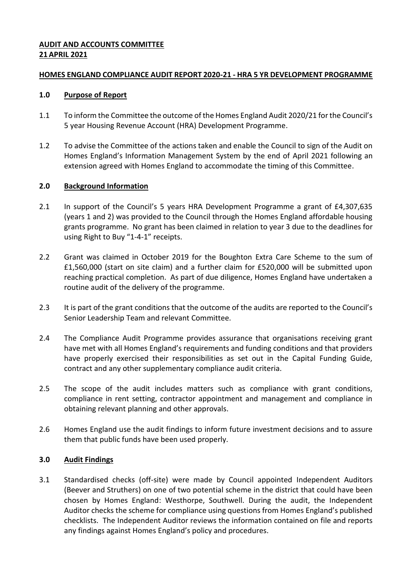## **AUDIT AND ACCOUNTS COMMITTEE 21 APRIL 2021**

### **HOMES ENGLAND COMPLIANCE AUDIT REPORT 2020-21 - HRA 5 YR DEVELOPMENT PROGRAMME**

## **1.0 Purpose of Report**

- 1.1 To inform the Committee the outcome of the Homes England Audit 2020/21 for the Council's 5 year Housing Revenue Account (HRA) Development Programme.
- 1.2 To advise the Committee of the actions taken and enable the Council to sign of the Audit on Homes England's Information Management System by the end of April 2021 following an extension agreed with Homes England to accommodate the timing of this Committee.

# **2.0 Background Information**

- 2.1 In support of the Council's 5 years HRA Development Programme a grant of £4,307,635 (years 1 and 2) was provided to the Council through the Homes England affordable housing grants programme. No grant has been claimed in relation to year 3 due to the deadlines for using Right to Buy "1-4-1" receipts.
- 2.2 Grant was claimed in October 2019 for the Boughton Extra Care Scheme to the sum of £1,560,000 (start on site claim) and a further claim for £520,000 will be submitted upon reaching practical completion. As part of due diligence, Homes England have undertaken a routine audit of the delivery of the programme.
- 2.3 It is part of the grant conditions that the outcome of the audits are reported to the Council's Senior Leadership Team and relevant Committee.
- 2.4 The Compliance Audit Programme provides assurance that organisations receiving grant have met with all Homes England's requirements and funding conditions and that providers have properly exercised their responsibilities as set out in the Capital Funding Guide, contract and any other supplementary compliance audit criteria.
- 2.5 The scope of the audit includes matters such as compliance with grant conditions, compliance in rent setting, contractor appointment and management and compliance in obtaining relevant planning and other approvals.
- 2.6 Homes England use the audit findings to inform future investment decisions and to assure them that public funds have been used properly.

# **3.0 Audit Findings**

3.1 Standardised checks (off-site) were made by Council appointed Independent Auditors (Beever and Struthers) on one of two potential scheme in the district that could have been chosen by Homes England: Westhorpe, Southwell. During the audit, the Independent Auditor checks the scheme for compliance using questions from Homes England's published checklists. The Independent Auditor reviews the information contained on file and reports any findings against Homes England's policy and procedures.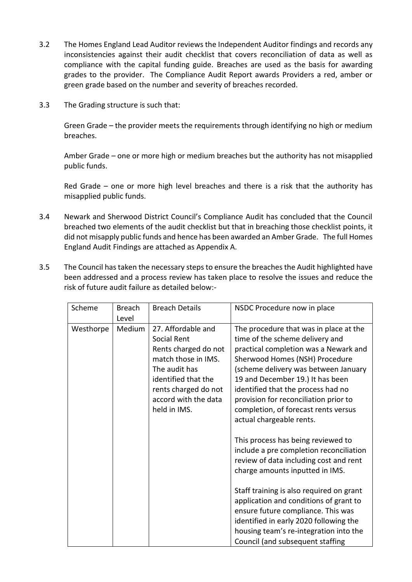- 3.2 The Homes England Lead Auditor reviews the Independent Auditor findings and records any inconsistencies against their audit checklist that covers reconciliation of data as well as compliance with the capital funding guide. Breaches are used as the basis for awarding grades to the provider. The Compliance Audit Report awards Providers a red, amber or green grade based on the number and severity of breaches recorded.
- 3.3 The Grading structure is such that:

Green Grade – the provider meets the requirements through identifying no high or medium breaches.

Amber Grade – one or more high or medium breaches but the authority has not misapplied public funds.

Red Grade – one or more high level breaches and there is a risk that the authority has misapplied public funds.

- 3.4 Newark and Sherwood District Council's Compliance Audit has concluded that the Council breached two elements of the audit checklist but that in breaching those checklist points, it did not misapply public funds and hence has been awarded an Amber Grade. The full Homes England Audit Findings are attached as Appendix A.
- 3.5 The Council has taken the necessary steps to ensure the breaches the Audit highlighted have been addressed and a process review has taken place to resolve the issues and reduce the risk of future audit failure as detailed below:-

| Scheme    | <b>Breach</b>   | <b>Breach Details</b>                                                                                | NSDC Procedure now in place                                                                                                                                                                                                                                   |
|-----------|-----------------|------------------------------------------------------------------------------------------------------|---------------------------------------------------------------------------------------------------------------------------------------------------------------------------------------------------------------------------------------------------------------|
| Westhorpe | Level<br>Medium | 27. Affordable and<br>Social Rent<br>Rents charged do not<br>match those in IMS.                     | The procedure that was in place at the<br>time of the scheme delivery and<br>practical completion was a Newark and                                                                                                                                            |
|           |                 | The audit has<br>identified that the<br>rents charged do not<br>accord with the data<br>held in IMS. | Sherwood Homes (NSH) Procedure<br>(scheme delivery was between January<br>19 and December 19.) It has been<br>identified that the process had no<br>provision for reconciliation prior to<br>completion, of forecast rents versus<br>actual chargeable rents. |
|           |                 |                                                                                                      | This process has being reviewed to<br>include a pre completion reconciliation<br>review of data including cost and rent<br>charge amounts inputted in IMS.                                                                                                    |
|           |                 |                                                                                                      | Staff training is also required on grant<br>application and conditions of grant to<br>ensure future compliance. This was<br>identified in early 2020 following the<br>housing team's re-integration into the<br>Council (and subsequent staffing              |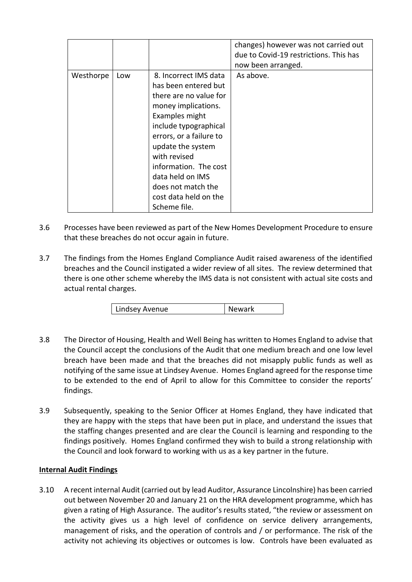|           |     |                                                                                                                                                                                                                                                                                                                       | changes) however was not carried out<br>due to Covid-19 restrictions. This has<br>now been arranged. |
|-----------|-----|-----------------------------------------------------------------------------------------------------------------------------------------------------------------------------------------------------------------------------------------------------------------------------------------------------------------------|------------------------------------------------------------------------------------------------------|
| Westhorpe | Low | 8. Incorrect IMS data<br>has been entered but<br>there are no value for<br>money implications.<br>Examples might<br>include typographical<br>errors, or a failure to<br>update the system<br>with revised<br>information. The cost<br>data held on IMS<br>does not match the<br>cost data held on the<br>Scheme file. | As above.                                                                                            |

- 3.6 Processes have been reviewed as part of the New Homes Development Procedure to ensure that these breaches do not occur again in future.
- 3.7 The findings from the Homes England Compliance Audit raised awareness of the identified breaches and the Council instigated a wider review of all sites. The review determined that there is one other scheme whereby the IMS data is not consistent with actual site costs and actual rental charges.

| Lindsey Avenue | Newark |
|----------------|--------|
|----------------|--------|

- 3.8 The Director of Housing, Health and Well Being has written to Homes England to advise that the Council accept the conclusions of the Audit that one medium breach and one low level breach have been made and that the breaches did not misapply public funds as well as notifying of the same issue at Lindsey Avenue. Homes England agreed for the response time to be extended to the end of April to allow for this Committee to consider the reports' findings.
- 3.9 Subsequently, speaking to the Senior Officer at Homes England, they have indicated that they are happy with the steps that have been put in place, and understand the issues that the staffing changes presented and are clear the Council is learning and responding to the findings positively. Homes England confirmed they wish to build a strong relationship with the Council and look forward to working with us as a key partner in the future.

# **Internal Audit Findings**

3.10 A recent internal Audit (carried out by lead Auditor, Assurance Lincolnshire) has been carried out between November 20 and January 21 on the HRA development programme, which has given a rating of High Assurance. The auditor's results stated, "the review or assessment on the activity gives us a high level of confidence on service delivery arrangements, management of risks, and the operation of controls and / or performance. The risk of the activity not achieving its objectives or outcomes is low. Controls have been evaluated as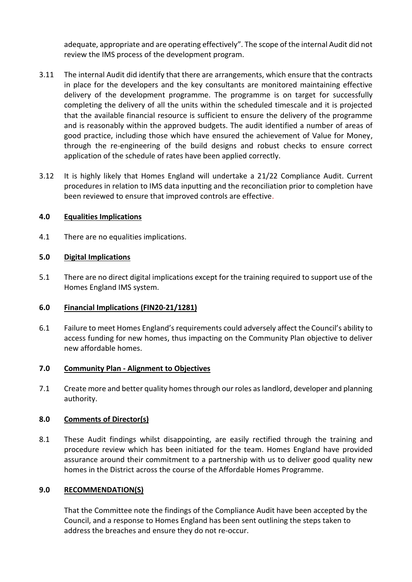adequate, appropriate and are operating effectively". The scope of the internal Audit did not review the IMS process of the development program.

- 3.11 The internal Audit did identify that there are arrangements, which ensure that the contracts in place for the developers and the key consultants are monitored maintaining effective delivery of the development programme. The programme is on target for successfully completing the delivery of all the units within the scheduled timescale and it is projected that the available financial resource is sufficient to ensure the delivery of the programme and is reasonably within the approved budgets. The audit identified a number of areas of good practice, including those which have ensured the achievement of Value for Money, through the re-engineering of the build designs and robust checks to ensure correct application of the schedule of rates have been applied correctly.
- 3.12 It is highly likely that Homes England will undertake a 21/22 Compliance Audit. Current procedures in relation to IMS data inputting and the reconciliation prior to completion have been reviewed to ensure that improved controls are effective.

## **4.0 Equalities Implications**

4.1 There are no equalities implications.

## **5.0 Digital Implications**

5.1 There are no direct digital implications except for the training required to support use of the Homes England IMS system.

#### **6.0 Financial Implications (FIN20-21/1281)**

6.1 Failure to meet Homes England's requirements could adversely affect the Council's ability to access funding for new homes, thus impacting on the Community Plan objective to deliver new affordable homes.

#### **7.0 Community Plan - Alignment to Objectives**

7.1 Create more and better quality homes through our roles as landlord, developer and planning authority.

#### **8.0 Comments of Director(s)**

8.1 These Audit findings whilst disappointing, are easily rectified through the training and procedure review which has been initiated for the team. Homes England have provided assurance around their commitment to a partnership with us to deliver good quality new homes in the District across the course of the Affordable Homes Programme.

#### **9.0 RECOMMENDATION(S)**

That the Committee note the findings of the Compliance Audit have been accepted by the Council, and a response to Homes England has been sent outlining the steps taken to address the breaches and ensure they do not re-occur.